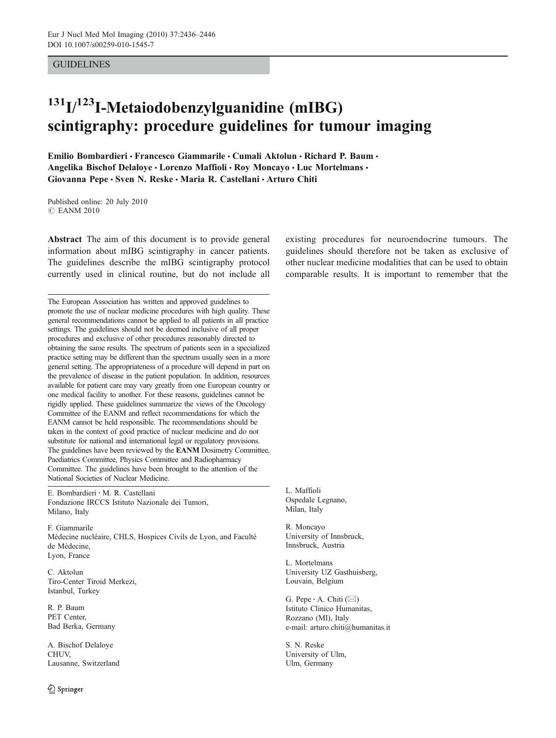# **GUIDELINES**

# $131$ <sup>[/123</sup>]-Metaiodobenzylguanidine (mIBG) scintigraphy: procedure guidelines for tumour imaging

Emilio Bombardieri • Francesco Giammarile • Cumali Aktolun • Richard P. Baum • Angelika Bischof Delaloye · Lorenzo Maffioli · Roy Moncayo · Luc Mortelmans · Giovanna Pepe · Sven N. Reske · Maria R. Castellani · Arturo Chiti

C EANM 2010 Published online: 20 July 2010

Abstract The aim of this document is to provide general information about mIBG scintigraphy in cancer patients. The guidelines describe the mIBG scintigraphy protocol currently used in clinical routine, but do not include all

The European Association has written and approved guidelines to promote the use of nuclear medicine procedures with high quality. These general recommendations cannot be applied to all patients in all practice settings. The guidelines should not be deemed inclusive of all proper procedures and exclusive of other procedures reasonably directed to obtaining the same results. The spectrum of patients seen in a specialized practice setting may be different than the spectrum usually seen in a more general setting. The appropriateness of a procedure will depend in part on the prevalence of disease in the patient population. In addition, resources available for patient care may vary greatly from one European country or one medical facility to another. For these reasons, guidelines cannot be rigidly applied. These guidelines summarize the views of the Oncology Committee of the EANM and reflect recommendations for which the EANM cannot be held responsible. The recommendations should be taken in the context of good practice of nuclear medicine and do not substitute for national and international legal or regulatory provisions. The guidelines have been reviewed by the EANM Dosimetry Committee, Paediatrics Committee, Physics Committee and Radiopharmacy Committee. The guidelines have been brought to the attention of the National Societies of Nuclear Medicine.

E. Bombardieri : M. R. Castellani Fondazione IRCCS Istituto Nazionale dei Tumori, Milano, Italy

F. Giammarile Médecine nucléaire, CHLS, Hospices Civils de Lyon, and Faculté de Médecine, Lyon, France

C. Aktolun Tiro-Center Tiroid Merkezi, Istanbul, Turkey

R. P. Baum PET Center, Bad Berka, Germany

A. Bischof Delaloye CHUV. Lausanne, Switzerland existing procedures for neuroendocrine tumours. The guidelines should therefore not be taken as exclusive of other nuclear medicine modalities that can be used to obtain comparable results. It is important to remember that the

L. Maffioli Ospedale Legnano, Milan, Italy

R. Moncayo University of Innsbruck, Innsbruck, Austria

L. Mortelmans University UZ Gasthuisberg, Louvain, Belgium

G. Pepe  $\cdot$  A. Chiti ( $\boxtimes$ ) Istituto Clinico Humanitas, Rozzano (MI), Italy e-mail: arturo.chiti@humanitas.it

S. N. Reske University of Ulm, Ulm, Germany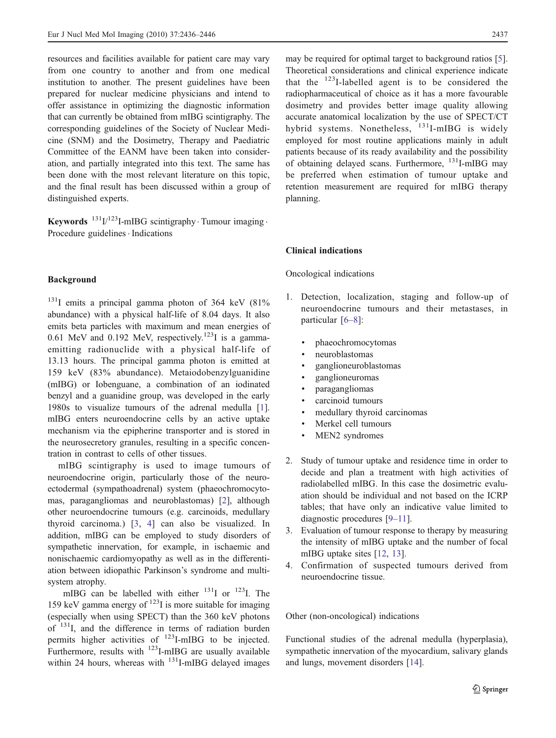resources and facilities available for patient care may vary from one country to another and from one medical institution to another. The present guidelines have been prepared for nuclear medicine physicians and intend to offer assistance in optimizing the diagnostic information that can currently be obtained from mIBG scintigraphy. The corresponding guidelines of the Society of Nuclear Medicine (SNM) and the Dosimetry, Therapy and Paediatric Committee of the EANM have been taken into consideration, and partially integrated into this text. The same has been done with the most relevant literature on this topic, and the final result has been discussed within a group of distinguished experts.

Keywords  $^{131}$ I/ $^{123}$ I-mIBG scintigraphy Tumour imaging . Procedure guidelines · Indications

# Background

 $131$ I emits a principal gamma photon of 364 keV (81%) abundance) with a physical half-life of 8.04 days. It also emits beta particles with maximum and mean energies of 0.61 MeV and 0.192 MeV, respectively.<sup>123</sup>I is a gammaemitting radionuclide with a physical half-life of 13.13 hours. The principal gamma photon is emitted at 159 keV (83% abundance). Metaiodobenzylguanidine (mIBG) or Iobenguane, a combination of an iodinated benzyl and a guanidine group, was developed in the early 1980s to visualize tumours of the adrenal medulla [1]. mIBG enters neuroendocrine cells by an active uptake mechanism via the epipherine transporter and is stored in the neurosecretory granules, resulting in a specific concentration in contrast to cells of other tissues.

mIBG scintigraphy is used to image tumours of neuroendocrine origin, particularly those of the neuroectodermal (sympathoadrenal) system (phaeochromocytomas, paragangliomas and neuroblastomas) [2], although other neuroendocrine tumours (e.g. carcinoids, medullary thyroid carcinoma.) [3, 4] can also be visualized. In addition, mIBG can be employed to study disorders of sympathetic innervation, for example, in ischaemic and nonischaemic cardiomyopathy as well as in the differentiation between idiopathic Parkinson's syndrome and multisystem atrophy.

mIBG can be labelled with either <sup>131</sup>I or <sup>123</sup>I. The 159 keV gamma energy of  $123$ I is more suitable for imaging (especially when using SPECT) than the 360 keV photons of 131I, and the difference in terms of radiation burden permits higher activities of 123I-mIBG to be injected. Furthermore, results with <sup>123</sup>I-mIBG are usually available within 24 hours, whereas with  $131$ -mIBG delayed images

may be required for optimal target to background ratios [5]. Theoretical considerations and clinical experience indicate that the  $^{123}$ I-labelled agent is to be considered the radiopharmaceutical of choice as it has a more favourable dosimetry and provides better image quality allowing accurate anatomical localization by the use of SPECT/CT hybrid systems. Nonetheless,  $^{131}$ I-mIBG is widely employed for most routine applications mainly in adult patients because of its ready availability and the possibility of obtaining delayed scans. Furthermore, <sup>131</sup>I-mIBG may be preferred when estimation of tumour uptake and retention measurement are required for mIBG therapy planning.

# Clinical indications

#### Oncological indications

- 1. Detection, localization, staging and follow-up of neuroendocrine tumours and their metastases, in particular [6–8]:
	- & phaeochromocytomas
	- & neuroblastomas
	- & ganglioneuroblastomas
	- ganglioneuromas
	- & paragangliomas
	- carcinoid tumours
	- medullary thyroid carcinomas
	- & Merkel cell tumours
	- MEN2 syndromes
- 2. Study of tumour uptake and residence time in order to decide and plan a treatment with high activities of radiolabelled mIBG. In this case the dosimetric evaluation should be individual and not based on the ICRP tables; that have only an indicative value limited to diagnostic procedures [9–11].
- 3. Evaluation of tumour response to therapy by measuring the intensity of mIBG uptake and the number of focal mIBG uptake sites [12, 13].
- 4. Confirmation of suspected tumours derived from neuroendocrine tissue.

Other (non-oncological) indications

Functional studies of the adrenal medulla (hyperplasia), sympathetic innervation of the myocardium, salivary glands and lungs, movement disorders [14].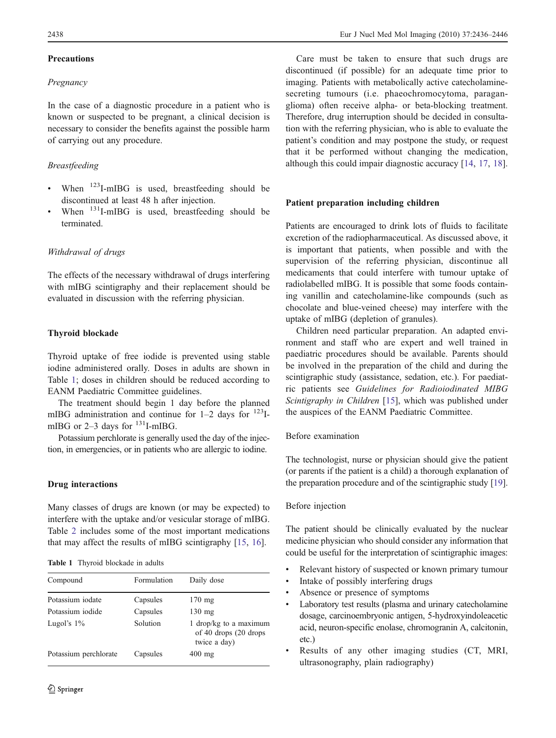# **Precautions**

# Pregnancy

In the case of a diagnostic procedure in a patient who is known or suspected to be pregnant, a clinical decision is necessary to consider the benefits against the possible harm of carrying out any procedure.

# Breastfeeding

- When <sup>123</sup>I-mIBG is used, breastfeeding should be discontinued at least 48 h after injection.
- When  $^{131}$ I-mIBG is used, breastfeeding should be terminated.

# Withdrawal of drugs

The effects of the necessary withdrawal of drugs interfering with mIBG scintigraphy and their replacement should be evaluated in discussion with the referring physician.

# Thyroid blockade

Thyroid uptake of free iodide is prevented using stable iodine administered orally. Doses in adults are shown in Table 1; doses in children should be reduced according to EANM Paediatric Committee guidelines.

The treatment should begin 1 day before the planned mIBG administration and continue for  $1-2$  days for  $123$ <sub>I</sub>mIBG or  $2-3$  days for  $^{131}$ I-mIBG.

Potassium perchlorate is generally used the day of the injection, in emergencies, or in patients who are allergic to iodine.

# Drug interactions

Many classes of drugs are known (or may be expected) to interfere with the uptake and/or vesicular storage of mIBG. Table 2 includes some of the most important medications that may affect the results of mIBG scintigraphy [15, 16].

Table 1 Thyroid blockade in adults

| Compound              | Formulation | Daily dose                                                      |
|-----------------------|-------------|-----------------------------------------------------------------|
| Potassium iodate      | Capsules    | $170 \text{ mg}$                                                |
| Potassium iodide      | Capsules    | $130 \text{ mg}$                                                |
| Lugol's $1\%$         | Solution    | 1 drop/kg to a maximum<br>of 40 drops (20 drops<br>twice a day) |
| Potassium perchlorate | Capsules    | $400 \text{ mg}$                                                |

Care must be taken to ensure that such drugs are discontinued (if possible) for an adequate time prior to imaging. Patients with metabolically active catecholaminesecreting tumours (i.e. phaeochromocytoma, paraganglioma) often receive alpha- or beta-blocking treatment. Therefore, drug interruption should be decided in consultation with the referring physician, who is able to evaluate the patient's condition and may postpone the study, or request that it be performed without changing the medication, although this could impair diagnostic accuracy [14, 17, 18].

### Patient preparation including children

Patients are encouraged to drink lots of fluids to facilitate excretion of the radiopharmaceutical. As discussed above, it is important that patients, when possible and with the supervision of the referring physician, discontinue all medicaments that could interfere with tumour uptake of radiolabelled mIBG. It is possible that some foods containing vanillin and catecholamine-like compounds (such as chocolate and blue-veined cheese) may interfere with the uptake of mIBG (depletion of granules).

Children need particular preparation. An adapted environment and staff who are expert and well trained in paediatric procedures should be available. Parents should be involved in the preparation of the child and during the scintigraphic study (assistance, sedation, etc.). For paediatric patients see Guidelines for Radioiodinated MIBG Scintigraphy in Children [15], which was published under the auspices of the EANM Paediatric Committee.

# Before examination

The technologist, nurse or physician should give the patient (or parents if the patient is a child) a thorough explanation of the preparation procedure and of the scintigraphic study [19].

#### Before injection

The patient should be clinically evaluated by the nuclear medicine physician who should consider any information that could be useful for the interpretation of scintigraphic images:

- Relevant history of suspected or known primary tumour
- Intake of possibly interfering drugs
- & Absence or presence of symptoms
- Laboratory test results (plasma and urinary catecholamine dosage, carcinoembryonic antigen, 5-hydroxyindoleacetic acid, neuron-specific enolase, chromogranin A, calcitonin, etc.)
- & Results of any other imaging studies (CT, MRI, ultrasonography, plain radiography)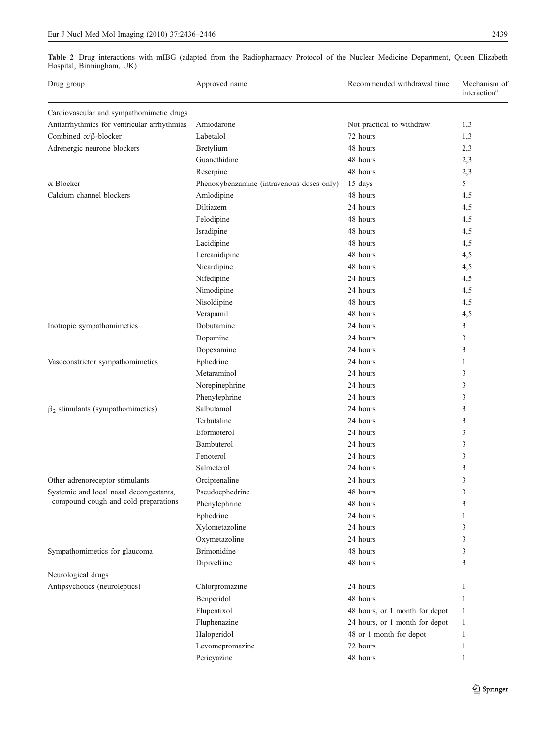|  |                           |  |  | Table 2 Drug interactions with mIBG (adapted from the Radiopharmacy Protocol of the Nuclear Medicine Department, Queen Elizabeth |  |  |  |  |
|--|---------------------------|--|--|----------------------------------------------------------------------------------------------------------------------------------|--|--|--|--|
|  | Hospital, Birmingham, UK) |  |  |                                                                                                                                  |  |  |  |  |
|  |                           |  |  |                                                                                                                                  |  |  |  |  |

| Drug group                                  | Approved name                             | Recommended withdrawal time    | Mechanism of<br>interaction <sup>a</sup> |
|---------------------------------------------|-------------------------------------------|--------------------------------|------------------------------------------|
| Cardiovascular and sympathomimetic drugs    |                                           |                                |                                          |
| Antiarrhythmics for ventricular arrhythmias | Amiodarone                                | Not practical to withdraw      | 1,3                                      |
| Combined $\alpha/\beta$ -blocker            | Labetalol                                 | 72 hours                       | 1,3                                      |
| Adrenergic neurone blockers                 | Bretylium                                 | 48 hours                       | 2,3                                      |
|                                             | Guanethidine                              | 48 hours                       | 2,3                                      |
|                                             | Reserpine                                 | 48 hours                       | 2,3                                      |
| $\alpha$ -Blocker                           | Phenoxybenzamine (intravenous doses only) | 15 days                        | 5                                        |
| Calcium channel blockers                    | Amlodipine                                | 48 hours                       | 4,5                                      |
|                                             | Diltiazem                                 | 24 hours                       | 4,5                                      |
|                                             | Felodipine                                | 48 hours                       | 4,5                                      |
|                                             | Isradipine                                | 48 hours                       | 4,5                                      |
|                                             | Lacidipine                                | 48 hours                       | 4,5                                      |
|                                             | Lercanidipine                             | 48 hours                       | 4,5                                      |
|                                             | Nicardipine                               | 48 hours                       | 4,5                                      |
|                                             | Nifedipine                                | 24 hours                       | 4,5                                      |
|                                             | Nimodipine                                | 24 hours                       | 4,5                                      |
|                                             | Nisoldipine                               | 48 hours                       | 4,5                                      |
|                                             | Verapamil                                 | 48 hours                       | 4,5                                      |
| Inotropic sympathomimetics                  | Dobutamine                                | 24 hours                       | 3                                        |
|                                             | Dopamine                                  | 24 hours                       | 3                                        |
|                                             | Dopexamine                                | 24 hours                       | 3                                        |
| Vasoconstrictor sympathomimetics            | Ephedrine                                 | 24 hours                       | $\mathbf{1}$                             |
|                                             | Metaraminol                               | 24 hours                       | 3                                        |
|                                             | Norepinephrine                            | 24 hours                       | 3                                        |
|                                             | Phenylephrine                             | 24 hours                       | 3                                        |
| $\beta_2$ stimulants (sympathomimetics)     | Salbutamol                                | 24 hours                       | 3                                        |
|                                             | Terbutaline                               | 24 hours                       | 3                                        |
|                                             | Eformoterol                               | 24 hours                       | 3                                        |
|                                             | Bambuterol                                | 24 hours                       | 3                                        |
|                                             | Fenoterol                                 | 24 hours                       | 3                                        |
|                                             | Salmeterol                                | 24 hours                       | 3                                        |
| Other adrenoreceptor stimulants             | Orciprenaline                             | 24 hours                       | 3                                        |
| Systemic and local nasal decongestants,     | Pseudoephedrine                           | 48 hours                       | 3                                        |
| compound cough and cold preparations        | Phenylephrine                             | 48 hours                       | 3                                        |
|                                             | Ephedrine                                 | 24 hours                       | $\mathbf{1}$                             |
|                                             | Xylometazoline                            | 24 hours                       | 3                                        |
|                                             | Oxymetazoline                             | 24 hours                       | 3                                        |
| Sympathomimetics for glaucoma               | <b>Brimonidine</b>                        | 48 hours                       | 3                                        |
|                                             | Dipivefrine                               | 48 hours                       | 3                                        |
| Neurological drugs                          |                                           |                                |                                          |
| Antipsychotics (neuroleptics)               | Chlorpromazine                            | 24 hours                       | 1                                        |
|                                             | Benperidol                                | 48 hours                       | $\mathbf{1}$                             |
|                                             | Flupentixol                               | 48 hours, or 1 month for depot | $\mathbf{1}$                             |
|                                             | Fluphenazine                              | 24 hours, or 1 month for depot | 1                                        |
|                                             | Haloperidol                               | 48 or 1 month for depot        | $\mathbf{1}$                             |
|                                             | Levomepromazine                           | 72 hours                       | 1                                        |
|                                             | Pericyazine                               | 48 hours                       | $\mathbf{1}$                             |
|                                             |                                           |                                |                                          |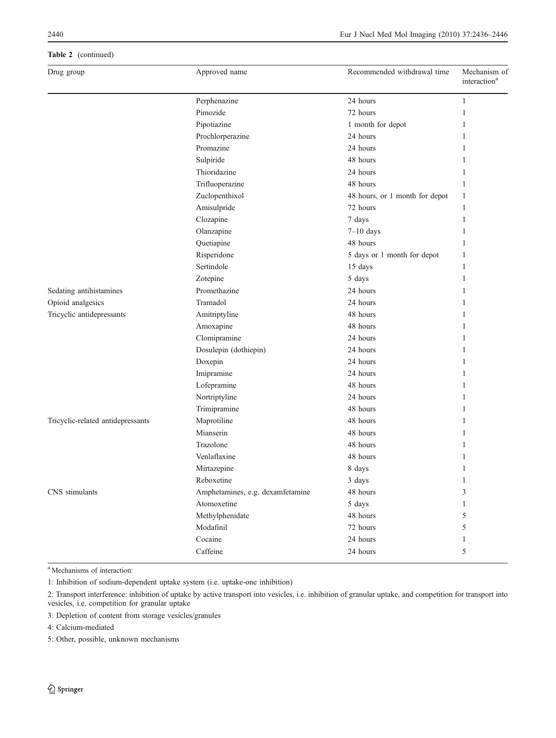# Table 2 (continued)

| Perphenazine<br>24 hours<br>$\mathbf{1}$<br>Pimozide<br>72 hours<br>1<br>Pipotiazine<br>1 month for depot<br>1<br>Prochlorperazine<br>24 hours<br>1<br>Promazine<br>24 hours<br>1<br>Sulpiride<br>48 hours<br>1<br>Thioridazine<br>24 hours<br>1<br>Trifluoperazine<br>48 hours<br>$\mathbf{1}$<br>Zuclopenthixol<br>48 hours, or 1 month for depot<br>$\mathbf{1}$<br>Amisulpride<br>72 hours<br>$\mathbf{1}$<br>Clozapine<br>7 days<br>1<br>Olanzapine<br>$7-10$ days<br>1<br>Quetiapine<br>48 hours<br>1<br>Risperidone<br>5 days or 1 month for depot<br>1<br>Sertindole<br>15 days<br>1<br>Zotepine<br>5 days<br>$\mathbf{1}$<br>Sedating antihistamines<br>Promethazine<br>24 hours<br>1<br>Opioid analgesics<br>Tramadol<br>24 hours<br>1<br>Tricyclic antidepressants<br>Amitriptyline<br>48 hours<br>1<br>Amoxapine<br>48 hours<br>$\mathbf{1}$<br>Clomipramine<br>24 hours<br>1<br>Dosulepin (dothiepin)<br>24 hours<br>1<br>Doxepin<br>24 hours<br>1<br>Imipramine<br>24 hours<br>1<br>Lofepramine<br>48 hours<br>1<br>Nortriptyline<br>24 hours<br>1<br>Trimipramine<br>48 hours<br>1<br>Maprotiline<br>48 hours<br>Tricyclic-related antidepressants<br>1<br>Mianserin<br>48 hours<br>1<br>Trazolone<br>48 hours<br>1<br>Venlaflaxine<br>48 hours<br>1<br>Mirtazepine<br>8 days<br>1<br>Reboxetine<br>3 days<br>1<br>Amphetamines, e.g. dexamfetamine<br>48 hours<br>3<br>CNS stimulants<br>Atomoxetine<br>5 days<br>$\mathbf{1}$<br>Methylphenidate<br>48 hours<br>5<br>Modafinil<br>72 hours<br>5<br>Cocaine<br>24 hours<br>1<br>Caffeine<br>24 hours<br>5 | Drug group | Approved name | Recommended withdrawal time | Mechanism of<br>interaction <sup>a</sup> |
|---------------------------------------------------------------------------------------------------------------------------------------------------------------------------------------------------------------------------------------------------------------------------------------------------------------------------------------------------------------------------------------------------------------------------------------------------------------------------------------------------------------------------------------------------------------------------------------------------------------------------------------------------------------------------------------------------------------------------------------------------------------------------------------------------------------------------------------------------------------------------------------------------------------------------------------------------------------------------------------------------------------------------------------------------------------------------------------------------------------------------------------------------------------------------------------------------------------------------------------------------------------------------------------------------------------------------------------------------------------------------------------------------------------------------------------------------------------------------------------------------------------------------------------------------------------------------|------------|---------------|-----------------------------|------------------------------------------|
|                                                                                                                                                                                                                                                                                                                                                                                                                                                                                                                                                                                                                                                                                                                                                                                                                                                                                                                                                                                                                                                                                                                                                                                                                                                                                                                                                                                                                                                                                                                                                                           |            |               |                             |                                          |
|                                                                                                                                                                                                                                                                                                                                                                                                                                                                                                                                                                                                                                                                                                                                                                                                                                                                                                                                                                                                                                                                                                                                                                                                                                                                                                                                                                                                                                                                                                                                                                           |            |               |                             |                                          |
|                                                                                                                                                                                                                                                                                                                                                                                                                                                                                                                                                                                                                                                                                                                                                                                                                                                                                                                                                                                                                                                                                                                                                                                                                                                                                                                                                                                                                                                                                                                                                                           |            |               |                             |                                          |
|                                                                                                                                                                                                                                                                                                                                                                                                                                                                                                                                                                                                                                                                                                                                                                                                                                                                                                                                                                                                                                                                                                                                                                                                                                                                                                                                                                                                                                                                                                                                                                           |            |               |                             |                                          |
|                                                                                                                                                                                                                                                                                                                                                                                                                                                                                                                                                                                                                                                                                                                                                                                                                                                                                                                                                                                                                                                                                                                                                                                                                                                                                                                                                                                                                                                                                                                                                                           |            |               |                             |                                          |
|                                                                                                                                                                                                                                                                                                                                                                                                                                                                                                                                                                                                                                                                                                                                                                                                                                                                                                                                                                                                                                                                                                                                                                                                                                                                                                                                                                                                                                                                                                                                                                           |            |               |                             |                                          |
|                                                                                                                                                                                                                                                                                                                                                                                                                                                                                                                                                                                                                                                                                                                                                                                                                                                                                                                                                                                                                                                                                                                                                                                                                                                                                                                                                                                                                                                                                                                                                                           |            |               |                             |                                          |
|                                                                                                                                                                                                                                                                                                                                                                                                                                                                                                                                                                                                                                                                                                                                                                                                                                                                                                                                                                                                                                                                                                                                                                                                                                                                                                                                                                                                                                                                                                                                                                           |            |               |                             |                                          |
|                                                                                                                                                                                                                                                                                                                                                                                                                                                                                                                                                                                                                                                                                                                                                                                                                                                                                                                                                                                                                                                                                                                                                                                                                                                                                                                                                                                                                                                                                                                                                                           |            |               |                             |                                          |
|                                                                                                                                                                                                                                                                                                                                                                                                                                                                                                                                                                                                                                                                                                                                                                                                                                                                                                                                                                                                                                                                                                                                                                                                                                                                                                                                                                                                                                                                                                                                                                           |            |               |                             |                                          |
|                                                                                                                                                                                                                                                                                                                                                                                                                                                                                                                                                                                                                                                                                                                                                                                                                                                                                                                                                                                                                                                                                                                                                                                                                                                                                                                                                                                                                                                                                                                                                                           |            |               |                             |                                          |
|                                                                                                                                                                                                                                                                                                                                                                                                                                                                                                                                                                                                                                                                                                                                                                                                                                                                                                                                                                                                                                                                                                                                                                                                                                                                                                                                                                                                                                                                                                                                                                           |            |               |                             |                                          |
|                                                                                                                                                                                                                                                                                                                                                                                                                                                                                                                                                                                                                                                                                                                                                                                                                                                                                                                                                                                                                                                                                                                                                                                                                                                                                                                                                                                                                                                                                                                                                                           |            |               |                             |                                          |
|                                                                                                                                                                                                                                                                                                                                                                                                                                                                                                                                                                                                                                                                                                                                                                                                                                                                                                                                                                                                                                                                                                                                                                                                                                                                                                                                                                                                                                                                                                                                                                           |            |               |                             |                                          |
|                                                                                                                                                                                                                                                                                                                                                                                                                                                                                                                                                                                                                                                                                                                                                                                                                                                                                                                                                                                                                                                                                                                                                                                                                                                                                                                                                                                                                                                                                                                                                                           |            |               |                             |                                          |
|                                                                                                                                                                                                                                                                                                                                                                                                                                                                                                                                                                                                                                                                                                                                                                                                                                                                                                                                                                                                                                                                                                                                                                                                                                                                                                                                                                                                                                                                                                                                                                           |            |               |                             |                                          |
|                                                                                                                                                                                                                                                                                                                                                                                                                                                                                                                                                                                                                                                                                                                                                                                                                                                                                                                                                                                                                                                                                                                                                                                                                                                                                                                                                                                                                                                                                                                                                                           |            |               |                             |                                          |
|                                                                                                                                                                                                                                                                                                                                                                                                                                                                                                                                                                                                                                                                                                                                                                                                                                                                                                                                                                                                                                                                                                                                                                                                                                                                                                                                                                                                                                                                                                                                                                           |            |               |                             |                                          |
|                                                                                                                                                                                                                                                                                                                                                                                                                                                                                                                                                                                                                                                                                                                                                                                                                                                                                                                                                                                                                                                                                                                                                                                                                                                                                                                                                                                                                                                                                                                                                                           |            |               |                             |                                          |
|                                                                                                                                                                                                                                                                                                                                                                                                                                                                                                                                                                                                                                                                                                                                                                                                                                                                                                                                                                                                                                                                                                                                                                                                                                                                                                                                                                                                                                                                                                                                                                           |            |               |                             |                                          |
|                                                                                                                                                                                                                                                                                                                                                                                                                                                                                                                                                                                                                                                                                                                                                                                                                                                                                                                                                                                                                                                                                                                                                                                                                                                                                                                                                                                                                                                                                                                                                                           |            |               |                             |                                          |
|                                                                                                                                                                                                                                                                                                                                                                                                                                                                                                                                                                                                                                                                                                                                                                                                                                                                                                                                                                                                                                                                                                                                                                                                                                                                                                                                                                                                                                                                                                                                                                           |            |               |                             |                                          |
|                                                                                                                                                                                                                                                                                                                                                                                                                                                                                                                                                                                                                                                                                                                                                                                                                                                                                                                                                                                                                                                                                                                                                                                                                                                                                                                                                                                                                                                                                                                                                                           |            |               |                             |                                          |
|                                                                                                                                                                                                                                                                                                                                                                                                                                                                                                                                                                                                                                                                                                                                                                                                                                                                                                                                                                                                                                                                                                                                                                                                                                                                                                                                                                                                                                                                                                                                                                           |            |               |                             |                                          |
|                                                                                                                                                                                                                                                                                                                                                                                                                                                                                                                                                                                                                                                                                                                                                                                                                                                                                                                                                                                                                                                                                                                                                                                                                                                                                                                                                                                                                                                                                                                                                                           |            |               |                             |                                          |
|                                                                                                                                                                                                                                                                                                                                                                                                                                                                                                                                                                                                                                                                                                                                                                                                                                                                                                                                                                                                                                                                                                                                                                                                                                                                                                                                                                                                                                                                                                                                                                           |            |               |                             |                                          |
|                                                                                                                                                                                                                                                                                                                                                                                                                                                                                                                                                                                                                                                                                                                                                                                                                                                                                                                                                                                                                                                                                                                                                                                                                                                                                                                                                                                                                                                                                                                                                                           |            |               |                             |                                          |
|                                                                                                                                                                                                                                                                                                                                                                                                                                                                                                                                                                                                                                                                                                                                                                                                                                                                                                                                                                                                                                                                                                                                                                                                                                                                                                                                                                                                                                                                                                                                                                           |            |               |                             |                                          |
|                                                                                                                                                                                                                                                                                                                                                                                                                                                                                                                                                                                                                                                                                                                                                                                                                                                                                                                                                                                                                                                                                                                                                                                                                                                                                                                                                                                                                                                                                                                                                                           |            |               |                             |                                          |
|                                                                                                                                                                                                                                                                                                                                                                                                                                                                                                                                                                                                                                                                                                                                                                                                                                                                                                                                                                                                                                                                                                                                                                                                                                                                                                                                                                                                                                                                                                                                                                           |            |               |                             |                                          |
|                                                                                                                                                                                                                                                                                                                                                                                                                                                                                                                                                                                                                                                                                                                                                                                                                                                                                                                                                                                                                                                                                                                                                                                                                                                                                                                                                                                                                                                                                                                                                                           |            |               |                             |                                          |
|                                                                                                                                                                                                                                                                                                                                                                                                                                                                                                                                                                                                                                                                                                                                                                                                                                                                                                                                                                                                                                                                                                                                                                                                                                                                                                                                                                                                                                                                                                                                                                           |            |               |                             |                                          |
|                                                                                                                                                                                                                                                                                                                                                                                                                                                                                                                                                                                                                                                                                                                                                                                                                                                                                                                                                                                                                                                                                                                                                                                                                                                                                                                                                                                                                                                                                                                                                                           |            |               |                             |                                          |
|                                                                                                                                                                                                                                                                                                                                                                                                                                                                                                                                                                                                                                                                                                                                                                                                                                                                                                                                                                                                                                                                                                                                                                                                                                                                                                                                                                                                                                                                                                                                                                           |            |               |                             |                                          |
|                                                                                                                                                                                                                                                                                                                                                                                                                                                                                                                                                                                                                                                                                                                                                                                                                                                                                                                                                                                                                                                                                                                                                                                                                                                                                                                                                                                                                                                                                                                                                                           |            |               |                             |                                          |
|                                                                                                                                                                                                                                                                                                                                                                                                                                                                                                                                                                                                                                                                                                                                                                                                                                                                                                                                                                                                                                                                                                                                                                                                                                                                                                                                                                                                                                                                                                                                                                           |            |               |                             |                                          |
|                                                                                                                                                                                                                                                                                                                                                                                                                                                                                                                                                                                                                                                                                                                                                                                                                                                                                                                                                                                                                                                                                                                                                                                                                                                                                                                                                                                                                                                                                                                                                                           |            |               |                             |                                          |
|                                                                                                                                                                                                                                                                                                                                                                                                                                                                                                                                                                                                                                                                                                                                                                                                                                                                                                                                                                                                                                                                                                                                                                                                                                                                                                                                                                                                                                                                                                                                                                           |            |               |                             |                                          |
|                                                                                                                                                                                                                                                                                                                                                                                                                                                                                                                                                                                                                                                                                                                                                                                                                                                                                                                                                                                                                                                                                                                                                                                                                                                                                                                                                                                                                                                                                                                                                                           |            |               |                             |                                          |

a Mechanisms of interaction:

1: Inhibition of sodium-dependent uptake system (i.e. uptake-one inhibition)

2: Transport interference: inhibition of uptake by active transport into vesicles, i.e. inhibition of granular uptake, and competition for transport into vesicles, i.e. competition for granular uptake

3: Depletion of content from storage vesicles/granules

4: Calcium-mediated

5: Other, possible, unknown mechanisms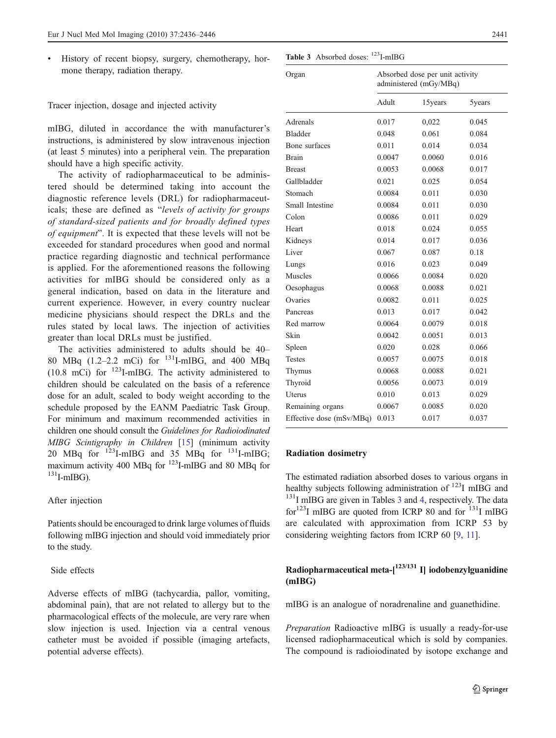History of recent biopsy, surgery, chemotherapy, hormone therapy, radiation therapy.

mIBG, diluted in accordance the with manufacturer's instructions, is administered by slow intravenous injection (at least 5 minutes) into a peripheral vein. The preparation should have a high specific activity.

The activity of radiopharmaceutical to be administered should be determined taking into account the diagnostic reference levels (DRL) for radiopharmaceuticals; these are defined as "levels of activity for groups of standard-sized patients and for broadly defined types of equipment". It is expected that these levels will not be exceeded for standard procedures when good and normal practice regarding diagnostic and technical performance is applied. For the aforementioned reasons the following activities for mIBG should be considered only as a general indication, based on data in the literature and current experience. However, in every country nuclear medicine physicians should respect the DRLs and the rules stated by local laws. The injection of activities greater than local DRLs must be justified.

The activities administered to adults should be 40– 80 MBq  $(1.2-2.2 \text{ mCi})$  for  $^{131}$ I-mIBG, and 400 MBq (10.8 mCi) for  $^{123}$ I-mIBG. The activity administered to children should be calculated on the basis of a reference dose for an adult, scaled to body weight according to the schedule proposed by the EANM Paediatric Task Group. For minimum and maximum recommended activities in children one should consult the Guidelines for Radioiodinated MIBG Scintigraphy in Children [15] (minimum activity 20 MBq for  $^{123}$ I-mIBG and 35 MBq for  $^{131}$ I-mIBG; maximum activity 400 MBq for  $123$ I-mIBG and 80 MBq for  $^{131}$ I-mIBG).

#### After injection

Patients should be encouraged to drink large volumes of fluids following mIBG injection and should void immediately prior to the study.

# Side effects

Adverse effects of mIBG (tachycardia, pallor, vomiting, abdominal pain), that are not related to allergy but to the pharmacological effects of the molecule, are very rare when slow injection is used. Injection via a central venous catheter must be avoided if possible (imaging artefacts, potential adverse effects).

|                          | administered (mGy/MBq) |          |        |  |  |
|--------------------------|------------------------|----------|--------|--|--|
|                          | Adult                  | 15 years | 5years |  |  |
| Adrenals                 | 0.017                  | 0,022    | 0.045  |  |  |
| <b>Bladder</b>           | 0.048                  | 0.061    | 0.084  |  |  |
| Bone surfaces            | 0.011                  | 0.014    | 0.034  |  |  |
| <b>Brain</b>             | 0.0047                 | 0.0060   | 0.016  |  |  |
| <b>Breast</b>            | 0.0053                 | 0.0068   | 0.017  |  |  |
| Gallbladder              | 0.021                  | 0.025    | 0.054  |  |  |
| Stomach                  | 0.0084                 | 0.011    | 0.030  |  |  |
| Small Intestine          | 0.0084                 | 0.011    | 0.030  |  |  |
| Colon                    | 0.0086                 | 0.011    | 0.029  |  |  |
| Heart                    | 0.018                  | 0.024    | 0.055  |  |  |
| Kidneys                  | 0.014                  | 0.017    | 0.036  |  |  |
| Liver                    | 0.067                  | 0.087    | 0.18   |  |  |
| Lungs                    | 0.016                  | 0.023    | 0.049  |  |  |
| Muscles                  | 0.0066                 | 0.0084   | 0.020  |  |  |
| Oesophagus               | 0.0068                 | 0.0088   | 0.021  |  |  |
| Ovaries                  | 0.0082                 | 0.011    | 0.025  |  |  |
| Pancreas                 | 0.013                  | 0.017    | 0.042  |  |  |
| Red marrow               | 0.0064                 | 0.0079   | 0.018  |  |  |
| Skin                     | 0.0042                 | 0.0051   | 0.013  |  |  |
| Spleen                   | 0.020                  | 0.028    | 0.066  |  |  |
| <b>Testes</b>            | 0.0057                 | 0.0075   | 0.018  |  |  |
| Thymus                   | 0.0068                 | 0.0088   | 0.021  |  |  |
| Thyroid                  | 0.0056                 | 0.0073   | 0.019  |  |  |
| Uterus                   | 0.010                  | 0.013    | 0.029  |  |  |
| Remaining organs         | 0.0067                 | 0.0085   | 0.020  |  |  |
| Effective dose (mSv/MBq) | 0.013                  | 0.017    | 0.037  |  |  |

Table 3 Absorbed doses:  $^{123}$ I-mIBG

Organ Absorbed dose per unit activity

#### Radiation dosimetry

The estimated radiation absorbed doses to various organs in healthy subjects following administration of  $^{123}$ I mIBG and  $131$ I mIBG are given in Tables 3 and 4, respectively. The data for<sup>123</sup>I mIBG are quoted from ICRP 80 and for  $^{131}$ I mIBG are calculated with approximation from ICRP 53 by considering weighting factors from ICRP 60 [9, 11].

# Radiopharmaceutical meta- $\left[\frac{123}{131}\right]$  iodobenzylguanidine (mIBG)

mIBG is an analogue of noradrenaline and guanethidine.

Preparation Radioactive mIBG is usually a ready-for-use licensed radiopharmaceutical which is sold by companies. The compound is radioiodinated by isotope exchange and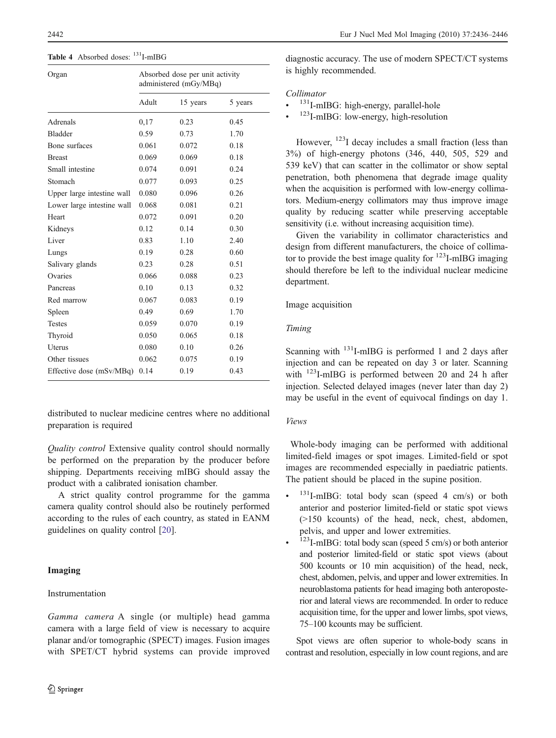| Organ                      | Absorbed dose per unit activity<br>administered (mGy/MBq) |          |         |  |  |
|----------------------------|-----------------------------------------------------------|----------|---------|--|--|
|                            | Adult                                                     | 15 years | 5 years |  |  |
| Adrenals                   | 0,17                                                      | 0.23     | 0.45    |  |  |
| <b>Bladder</b>             | 0.59                                                      | 0.73     | 1.70    |  |  |
| Bone surfaces              | 0.061                                                     | 0.072    | 0.18    |  |  |
| <b>Breast</b>              | 0.069                                                     | 0.069    | 0.18    |  |  |
| Small intestine            | 0.074                                                     | 0.091    | 0.24    |  |  |
| Stomach                    | 0.077                                                     | 0.093    | 0.25    |  |  |
| Upper large intestine wall | 0.080                                                     | 0.096    | 0.26    |  |  |
| Lower large intestine wall | 0.068                                                     | 0.081    | 0.21    |  |  |
| Heart                      | 0.072                                                     | 0.091    | 0.20    |  |  |
| Kidneys                    | 0.12                                                      | 0.14     | 0.30    |  |  |
| Liver                      | 0.83                                                      | 1.10     | 2.40    |  |  |
| Lungs                      | 0.19                                                      | 0.28     | 0.60    |  |  |
| Salivary glands            | 0.23                                                      | 0.28     | 0.51    |  |  |
| Ovaries                    | 0.066                                                     | 0.088    | 0.23    |  |  |
| Pancreas                   | 0.10                                                      | 0.13     | 0.32    |  |  |
| Red marrow                 | 0.067                                                     | 0.083    | 0.19    |  |  |
| Spleen                     | 0.49                                                      | 0.69     | 1.70    |  |  |
| <b>Testes</b>              | 0.059                                                     | 0.070    | 0.19    |  |  |
| Thyroid                    | 0.050                                                     | 0.065    | 0.18    |  |  |
| Uterus                     | 0.080                                                     | 0.10     | 0.26    |  |  |
| Other tissues              | 0.062                                                     | 0.075    | 0.19    |  |  |
| Effective dose (mSv/MBq)   | 0.14                                                      | 0.19     | 0.43    |  |  |

distributed to nuclear medicine centres where no additional preparation is required

Quality control Extensive quality control should normally be performed on the preparation by the producer before shipping. Departments receiving mIBG should assay the product with a calibrated ionisation chamber.

A strict quality control programme for the gamma camera quality control should also be routinely performed according to the rules of each country, as stated in EANM guidelines on quality control [20].

# Imaging

# Instrumentation

Gamma camera A single (or multiple) head gamma camera with a large field of view is necessary to acquire planar and/or tomographic (SPECT) images. Fusion images with SPET/CT hybrid systems can provide improved

diagnostic accuracy. The use of modern SPECT/CT systems is highly recommended.

# Collimator

 $131$ I-mIBG: high-energy, parallel-hole

 $^{123}$ I-mIBG: low-energy, high-resolution

However,  $^{123}$ I decay includes a small fraction (less than 3%) of high-energy photons (346, 440, 505, 529 and 539 keV) that can scatter in the collimator or show septal penetration, both phenomena that degrade image quality when the acquisition is performed with low-energy collimators. Medium-energy collimators may thus improve image quality by reducing scatter while preserving acceptable sensitivity (i.e. without increasing acquisition time).

Given the variability in collimator characteristics and design from different manufacturers, the choice of collimator to provide the best image quality for  $123$ I-mIBG imaging should therefore be left to the individual nuclear medicine department.

Image acquisition

# Timing

Scanning with <sup>131</sup>I-mIBG is performed 1 and 2 days after injection and can be repeated on day 3 or later. Scanning with <sup>123</sup>I-mIBG is performed between 20 and 24 h after injection. Selected delayed images (never later than day 2) may be useful in the event of equivocal findings on day 1.

# Views

Whole-body imaging can be performed with additional limited-field images or spot images. Limited-field or spot images are recommended especially in paediatric patients. The patient should be placed in the supine position.

- $^{131}$ I-mIBG: total body scan (speed 4 cm/s) or both anterior and posterior limited-field or static spot views (>150 kcounts) of the head, neck, chest, abdomen, pelvis, and upper and lower extremities.
- $^{123}$ I-mIBG: total body scan (speed 5 cm/s) or both anterior and posterior limited-field or static spot views (about 500 kcounts or 10 min acquisition) of the head, neck, chest, abdomen, pelvis, and upper and lower extremities. In neuroblastoma patients for head imaging both anteroposterior and lateral views are recommended. In order to reduce acquisition time, for the upper and lower limbs, spot views, 75–100 kcounts may be sufficient.

Spot views are often superior to whole-body scans in contrast and resolution, especially in low count regions, and are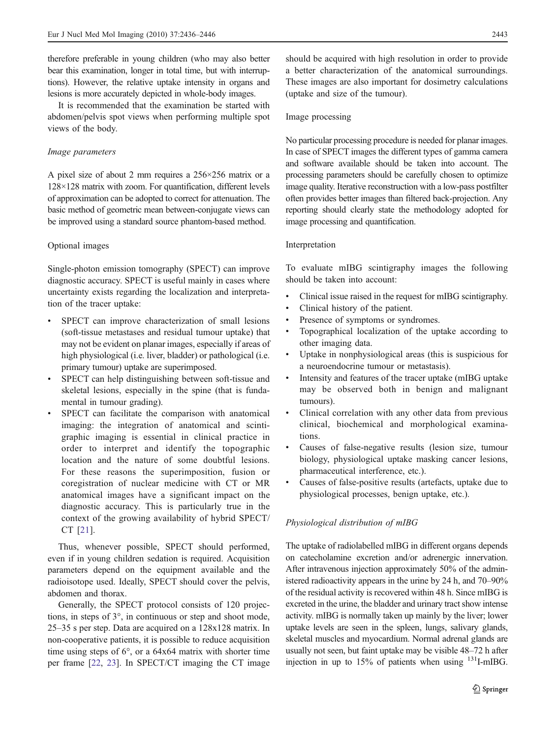therefore preferable in young children (who may also better bear this examination, longer in total time, but with interruptions). However, the relative uptake intensity in organs and lesions is more accurately depicted in whole-body images.

It is recommended that the examination be started with abdomen/pelvis spot views when performing multiple spot views of the body.

# Image parameters

A pixel size of about 2 mm requires a 256×256 matrix or a 128×128 matrix with zoom. For quantification, different levels of approximation can be adopted to correct for attenuation. The basic method of geometric mean between-conjugate views can be improved using a standard source phantom-based method.

# Optional images

Single-photon emission tomography (SPECT) can improve diagnostic accuracy. SPECT is useful mainly in cases where uncertainty exists regarding the localization and interpretation of the tracer uptake:

- SPECT can improve characterization of small lesions (soft-tissue metastases and residual tumour uptake) that may not be evident on planar images, especially if areas of high physiological (i.e. liver, bladder) or pathological (i.e. primary tumour) uptake are superimposed.
- & SPECT can help distinguishing between soft-tissue and skeletal lesions, especially in the spine (that is fundamental in tumour grading).
- SPECT can facilitate the comparison with anatomical imaging: the integration of anatomical and scintigraphic imaging is essential in clinical practice in order to interpret and identify the topographic location and the nature of some doubtful lesions. For these reasons the superimposition, fusion or coregistration of nuclear medicine with CT or MR anatomical images have a significant impact on the diagnostic accuracy. This is particularly true in the context of the growing availability of hybrid SPECT/ CT [21].

Thus, whenever possible, SPECT should performed, even if in young children sedation is required. Acquisition parameters depend on the equipment available and the radioisotope used. Ideally, SPECT should cover the pelvis, abdomen and thorax.

Generally, the SPECT protocol consists of 120 projections, in steps of 3°, in continuous or step and shoot mode, 25–35 s per step. Data are acquired on a 128x128 matrix. In non-cooperative patients, it is possible to reduce acquisition time using steps of 6°, or a 64x64 matrix with shorter time per frame [22, 23]. In SPECT/CT imaging the CT image

should be acquired with high resolution in order to provide a better characterization of the anatomical surroundings. These images are also important for dosimetry calculations (uptake and size of the tumour).

#### Image processing

No particular processing procedure is needed for planar images. In case of SPECT images the different types of gamma camera and software available should be taken into account. The processing parameters should be carefully chosen to optimize image quality. Iterative reconstruction with a low-pass postfilter often provides better images than filtered back-projection. Any reporting should clearly state the methodology adopted for image processing and quantification.

# Interpretation

To evaluate mIBG scintigraphy images the following should be taken into account:

- Clinical issue raised in the request for mIBG scintigraphy.
- & Clinical history of the patient.
- & Presence of symptoms or syndromes.
- & Topographical localization of the uptake according to other imaging data.
- & Uptake in nonphysiological areas (this is suspicious for a neuroendocrine tumour or metastasis).
- Intensity and features of the tracer uptake (mIBG uptake may be observed both in benign and malignant tumours).
- Clinical correlation with any other data from previous clinical, biochemical and morphological examinations.
- Causes of false-negative results (lesion size, tumour biology, physiological uptake masking cancer lesions, pharmaceutical interference, etc.).
- Causes of false-positive results (artefacts, uptake due to physiological processes, benign uptake, etc.).

### Physiological distribution of mIBG

The uptake of radiolabelled mIBG in different organs depends on catecholamine excretion and/or adrenergic innervation. After intravenous injection approximately 50% of the administered radioactivity appears in the urine by 24 h, and 70–90% of the residual activity is recovered within 48 h. Since mIBG is excreted in the urine, the bladder and urinary tract show intense activity. mIBG is normally taken up mainly by the liver; lower uptake levels are seen in the spleen, lungs, salivary glands, skeletal muscles and myocardium. Normal adrenal glands are usually not seen, but faint uptake may be visible 48–72 h after injection in up to  $15\%$  of patients when using  $^{131}$ I-mIBG.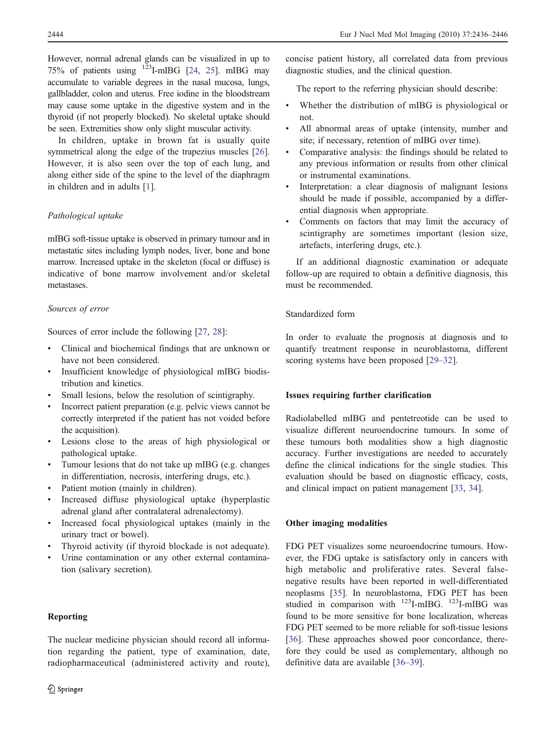However, normal adrenal glands can be visualized in up to 75% of patients using  $^{123}$ I-mIBG [24, 25]. mIBG may accumulate to variable degrees in the nasal mucosa, lungs, gallbladder, colon and uterus. Free iodine in the bloodstream may cause some uptake in the digestive system and in the thyroid (if not properly blocked). No skeletal uptake should be seen. Extremities show only slight muscular activity.

In children, uptake in brown fat is usually quite symmetrical along the edge of the trapezius muscles [26]. However, it is also seen over the top of each lung, and along either side of the spine to the level of the diaphragm in children and in adults [1].

# Pathological uptake

mIBG soft-tissue uptake is observed in primary tumour and in metastatic sites including lymph nodes, liver, bone and bone marrow. Increased uptake in the skeleton (focal or diffuse) is indicative of bone marrow involvement and/or skeletal metastases.

# Sources of error

Sources of error include the following [27, 28]:

- & Clinical and biochemical findings that are unknown or have not been considered.
- Insufficient knowledge of physiological mIBG biodistribution and kinetics.
- Small lesions, below the resolution of scintigraphy.
- Incorrect patient preparation (e.g. pelvic views cannot be correctly interpreted if the patient has not voided before the acquisition).
- Lesions close to the areas of high physiological or pathological uptake.
- Tumour lesions that do not take up mIBG (e.g. changes in differentiation, necrosis, interfering drugs, etc.).
- Patient motion (mainly in children).
- Increased diffuse physiological uptake (hyperplastic adrenal gland after contralateral adrenalectomy).
- Increased focal physiological uptakes (mainly in the urinary tract or bowel).
- Thyroid activity (if thyroid blockade is not adequate).
- Urine contamination or any other external contamination (salivary secretion).

# Reporting

The nuclear medicine physician should record all information regarding the patient, type of examination, date, radiopharmaceutical (administered activity and route), concise patient history, all correlated data from previous diagnostic studies, and the clinical question.

The report to the referring physician should describe:

- & Whether the distribution of mIBG is physiological or not.
- All abnormal areas of uptake (intensity, number and site; if necessary, retention of mIBG over time).
- Comparative analysis: the findings should be related to any previous information or results from other clinical or instrumental examinations.
- Interpretation: a clear diagnosis of malignant lesions should be made if possible, accompanied by a differential diagnosis when appropriate.
- Comments on factors that may limit the accuracy of scintigraphy are sometimes important (lesion size, artefacts, interfering drugs, etc.).

If an additional diagnostic examination or adequate follow-up are required to obtain a definitive diagnosis, this must be recommended.

# Standardized form

In order to evaluate the prognosis at diagnosis and to quantify treatment response in neuroblastoma, different scoring systems have been proposed [29–32].

### Issues requiring further clarification

Radiolabelled mIBG and pentetreotide can be used to visualize different neuroendocrine tumours. In some of these tumours both modalities show a high diagnostic accuracy. Further investigations are needed to accurately define the clinical indications for the single studies. This evaluation should be based on diagnostic efficacy, costs, and clinical impact on patient management [33, 34].

# Other imaging modalities

FDG PET visualizes some neuroendocrine tumours. However, the FDG uptake is satisfactory only in cancers with high metabolic and proliferative rates. Several falsenegative results have been reported in well-differentiated neoplasms [35]. In neuroblastoma, FDG PET has been studied in comparison with  $^{123}$ I-mIBG.  $^{123}$ I-mIBG was found to be more sensitive for bone localization, whereas FDG PET seemed to be more reliable for soft-tissue lesions [36]. These approaches showed poor concordance, therefore they could be used as complementary, although no definitive data are available [36–39].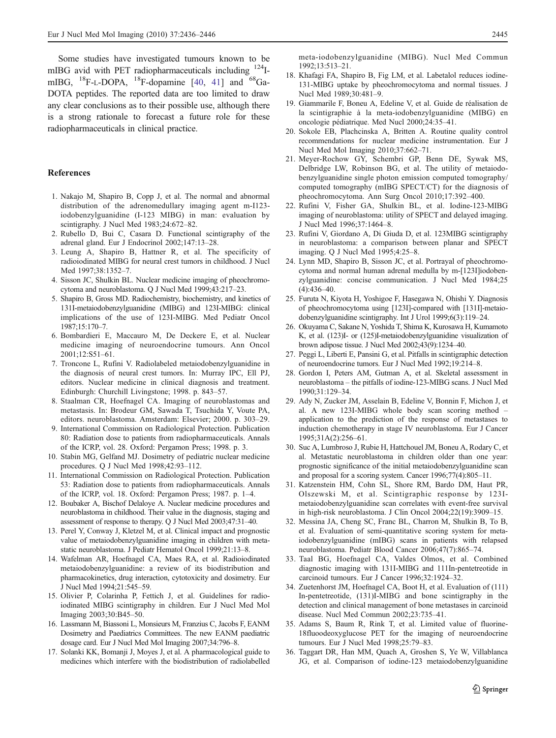Some studies have investigated tumours known to be mIBG avid with PET radiopharmaceuticals including 124ImIBG,  $^{18}$ F-L-DOPA,  $^{18}$ F-dopamine [40, 41] and  $^{68}$ Ga-DOTA peptides. The reported data are too limited to draw any clear conclusions as to their possible use, although there is a strong rationale to forecast a future role for these radiopharmaceuticals in clinical practice.

# **References**

- 1. Nakajo M, Shapiro B, Copp J, et al. The normal and abnormal distribution of the adrenomedullary imaging agent m-I123 iodobenzylguanidine (I-123 MIBG) in man: evaluation by scintigraphy. J Nucl Med 1983;24:672–82.
- 2. Rubello D, Bui C, Casara D. Functional scintigraphy of the adrenal gland. Eur J Endocrinol 2002;147:13–28.
- 3. Leung A, Shapiro B, Hattner R, et al. The specificity of radioiodinated MIBG for neural crest tumors in childhood. J Nucl Med 1997;38:1352–7.
- 4. Sisson JC, Shulkin BL. Nuclear medicine imaging of pheochromocytoma and neuroblastoma. Q J Nucl Med 1999;43:217–23.
- 5. Shapiro B, Gross MD. Radiochemistry, biochemistry, and kinetics of 131I-metaiodobenzylguanidine (MIBG) and 123I-MIBG: clinical implications of the use of 123I-MIBG. Med Pediatr Oncol 1987;15:170–7.
- 6. Bombardieri E, Maccauro M, De Deckere E, et al. Nuclear medicine imaging of neuroendocrine tumours. Ann Oncol 2001;12:S51–61.
- 7. Troncone L, Rufini V. Radiolabeled metaiodobenzylguanidine in the diagnosis of neural crest tumors. In: Murray IPC, Ell PJ, editors. Nuclear medicine in clinical diagnosis and treatment. Edinburgh: Churchill Livingstone; 1998. p. 843–57.
- 8. Staalman CR, Hoefnagel CA. Imaging of neuroblastomas and metastasis. In: Brodeur GM, Sawada T, Tsuchida Y, Voute PA, editors. neuroblastoma. Amsterdam: Elsevier; 2000. p. 303–29.
- 9. International Commission on Radiological Protection. Publication 80: Radiation dose to patients from radiopharmaceuticals. Annals of the ICRP, vol. 28. Oxford: Pergamon Press; 1998. p. 3.
- 10. Stabin MG, Gelfand MJ. Dosimetry of pediatric nuclear medicine procedures. Q J Nucl Med 1998;42:93–112.
- 11. International Commission on Radiological Protection. Publication 53: Radiation dose to patients from radiopharmaceuticals. Annals of the ICRP, vol. 18. Oxford: Pergamon Press; 1987. p. 1–4.
- 12. Boubaker A, Bischof Delaloye A. Nuclear medicine procedures and neuroblastoma in childhood. Their value in the diagnosis, staging and assessment of response to therapy. Q J Nucl Med 2003;47:31–40.
- 13. Perel Y, Conway J, Kletzel M, et al. Clinical impact and prognostic value of metaiodobenzylguanidine imaging in children with metastatic neuroblastoma. J Pediatr Hematol Oncol 1999;21:13–8.
- 14. Wafelman AR, Hoefnagel CA, Maes RA, et al. Radioiodinated metaiodobenzylguanidine: a review of its biodistribution and pharmacokinetics, drug interaction, cytotoxicity and dosimetry. Eur J Nucl Med 1994;21:545–59.
- 15. Olivier P, Colarinha P, Fettich J, et al. Guidelines for radioiodinated MIBG scintigraphy in children. Eur J Nucl Med Mol Imaging 2003;30:B45–50.
- 16. Lassmann M, Biassoni L, Monsieurs M, Franzius C, Jacobs F, EANM Dosimetry and Paediatrics Committees. The new EANM paediatric dosage card. Eur J Nucl Med Mol Imaging 2007;34:796–8.
- 17. Solanki KK, Bomanji J, Moyes J, et al. A pharmacological guide to medicines which interfere with the biodistribution of radiolabelled

meta-iodobenzylguanidine (MIBG). Nucl Med Commun 1992;13:513–21.

- 18. Khafagi FA, Shapiro B, Fig LM, et al. Labetalol reduces iodine-131-MIBG uptake by pheochromocytoma and normal tissues. J Nucl Med 1989;30:481-9.
- 19. Giammarile F, Boneu A, Edeline V, et al. Guide de réalisation de la scintigraphie à la meta-iodobenzylguanidine (MIBG) en oncologie pédiatrique. Med Nucl 2000;24:35–41.
- 20. Sokole EB, Plachcinska A, Britten A. Routine quality control recommendations for nuclear medicine instrumentation. Eur J Nucl Med Mol Imaging 2010;37:662–71.
- 21. Meyer-Rochow GY, Schembri GP, Benn DE, Sywak MS, Delbridge LW, Robinson BG, et al. The utility of metaiodobenzylguanidine single photon emission computed tomography/ computed tomography (mIBG SPECT/CT) for the diagnosis of pheochromocytoma. Ann Surg Oncol 2010;17:392–400.
- 22. Rufini V, Fisher GA, Shulkin BL, et al. Iodine-123-MIBG imaging of neuroblastoma: utility of SPECT and delayed imaging. J Nucl Med 1996;37:1464–8.
- 23. Rufini V, Giordano A, Di Giuda D, et al. 123MIBG scintigraphy in neuroblastoma: a comparison between planar and SPECT imaging. Q J Nucl Med 1995;4:25–8.
- 24. Lynn MD, Shapiro B, Sisson JC, et al. Portrayal of pheochromocytoma and normal human adrenal medulla by m-[123I]iodobenzylguanidine: concise communication. J Nucl Med 1984;25  $(4):436-40.$
- 25. Furuta N, Kiyota H, Yoshigoe F, Hasegawa N, Ohishi Y. Diagnosis of pheochromocytoma using [123I]-compared with [131I]-metaiodobenzylguanidine scintigraphy. Int J Urol 1999;6(3):119–24.
- 26. Okuyama C, Sakane N, Yoshida T, Shima K, Kurosawa H, Kumamoto K, et al. (123)I- or (125)I-metaiodobenzylguanidine visualization of brown adipose tissue. J Nucl Med 2002;43(9):1234–40.
- 27. Peggi L, Liberti E, Pansini G, et al. Pitfalls in scintigraphic detection of neuroendocrine tumors. Eur J Nucl Med 1992;19:214–8.
- 28. Gordon I, Peters AM, Gutman A, et al. Skeletal assessment in neuroblastoma – the pitfalls of iodine-123-MIBG scans. J Nucl Med 1990;31:129–34.
- 29. Ady N, Zucker JM, Asselain B, Edeline V, Bonnin F, Michon J, et al. A new 123I-MIBG whole body scan scoring method – application to the prediction of the response of metastases to induction chemotherapy in stage IV neuroblastoma. Eur J Cancer 1995;31A(2):256–61.
- 30. Suc A, Lumbroso J, Rubie H, Hattchouel JM, Boneu A, Rodary C, et al. Metastatic neuroblastoma in children older than one year: prognostic significance of the initial metaiodobenzylguanidine scan and proposal for a scoring system. Cancer 1996;77(4):805–11.
- 31. Katzenstein HM, Cohn SL, Shore RM, Bardo DM, Haut PR, Olszewski M, et al. Scintigraphic response by 123Imetaiodobenzylguanidine scan correlates with event-free survival in high-risk neuroblastoma. J Clin Oncol 2004;22(19):3909–15.
- 32. Messina JA, Cheng SC, Franc BL, Charron M, Shulkin B, To B, et al. Evaluation of semi-quantitative scoring system for metaiodobenzylguanidine (mIBG) scans in patients with relapsed neuroblastoma. Pediatr Blood Cancer 2006;47(7):865–74.
- 33. Taal BG, Hoefnagel CA, Valdes Olmos, et al. Combined diagnostic imaging with 131I-MIBG and 111In-pentetreotide in carcinoid tumours. Eur J Cancer 1996;32:1924–32.
- 34. Zuetenhorst JM, Hoefnagel CA, Boot H, et al. Evaluation of (111) In-pentetreotide, (131)I-MIBG and bone scintigraphy in the detection and clinical management of bone metastases in carcinoid disease. Nucl Med Commun 2002;23:735–41.
- 35. Adams S, Baum R, Rink T, et al. Limited value of fluorine-18fluoodeoxyglucose PET for the imaging of neuroendocrine tumours. Eur J Nucl Med 1998;25:79–83.
- 36. Taggart DR, Han MM, Quach A, Groshen S, Ye W, Villablanca JG, et al. Comparison of iodine-123 metaiodobenzylguanidine